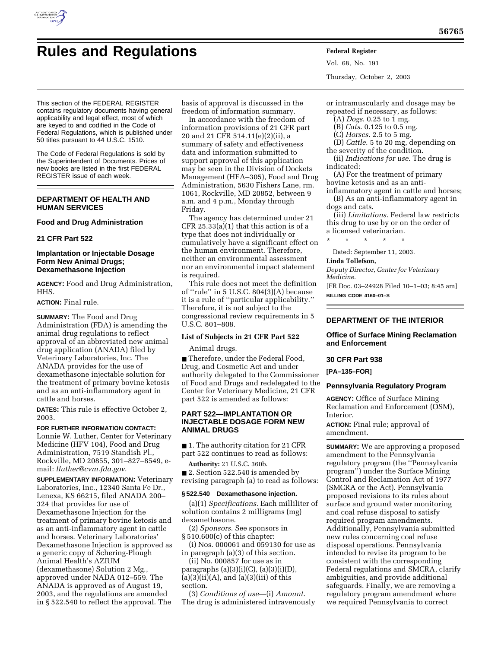

# **Rules and Regulations Federal Register**

This section of the FEDERAL REGISTER contains regulatory documents having general applicability and legal effect, most of which are keyed to and codified in the Code of Federal Regulations, which is published under 50 titles pursuant to 44 U.S.C. 1510.

The Code of Federal Regulations is sold by the Superintendent of Documents. Prices of new books are listed in the first FEDERAL REGISTER issue of each week.

# **DEPARTMENT OF HEALTH AND HUMAN SERVICES**

## **Food and Drug Administration**

## **21 CFR Part 522**

# **Implantation or Injectable Dosage Form New Animal Drugs; Dexamethasone Injection**

**AGENCY:** Food and Drug Administration, HHS.

# **ACTION:** Final rule.

**SUMMARY:** The Food and Drug Administration (FDA) is amending the animal drug regulations to reflect approval of an abbreviated new animal drug application (ANADA) filed by Veterinary Laboratories, Inc. The ANADA provides for the use of dexamethasone injectable solution for the treatment of primary bovine ketosis and as an anti-inflammatory agent in cattle and horses.

**DATES:** This rule is effective October 2, 2003.

**FOR FURTHER INFORMATION CONTACT:** Lonnie W. Luther, Center for Veterinary Medicine (HFV 104), Food and Drug Administration, 7519 Standish Pl., Rockville, MD 20855, 301–827–8549, email: *lluther@cvm.fda.gov*.

**SUPPLEMENTARY INFORMATION:** Veterinary Laboratories, Inc., 12340 Santa Fe Dr., Lenexa, KS 66215, filed ANADA 200– 324 that provides for use of Dexamethasone Injection for the treatment of primary bovine ketosis and as an anti-inflammatory agent in cattle and horses. Veterinary Laboratories' Dexamethasone Injection is approved as a generic copy of Schering-Plough Animal Health's AZIUM (dexamethasone) Solution 2 Mg., approved under NADA 012–559. The ANADA is approved as of August 19, 2003, and the regulations are amended in § 522.540 to reflect the approval. The

basis of approval is discussed in the freedom of information summary.

In accordance with the freedom of information provisions of 21 CFR part 20 and 21 CFR 514.11(e)(2)(ii), a summary of safety and effectiveness data and information submitted to support approval of this application may be seen in the Division of Dockets Management (HFA–305), Food and Drug Administration, 5630 Fishers Lane, rm. 1061, Rockville, MD 20852, between 9 a.m. and 4 p.m., Monday through Friday.

The agency has determined under 21 CFR 25.33(a)(1) that this action is of a type that does not individually or cumulatively have a significant effect on the human environment. Therefore, neither an environmental assessment nor an environmental impact statement is required.

This rule does not meet the definition of ''rule'' in 5 U.S.C. 804(3)(A) because it is a rule of ''particular applicability.'' Therefore, it is not subject to the congressional review requirements in 5 U.S.C. 801–808.

# **List of Subjects in 21 CFR Part 522**

Animal drugs.

■ Therefore, under the Federal Food, Drug, and Cosmetic Act and under authority delegated to the Commissioner of Food and Drugs and redelegated to the Center for Veterinary Medicine, 21 CFR part 522 is amended as follows:

# **PART 522—IMPLANTATION OR INJECTABLE DOSAGE FORM NEW ANIMAL DRUGS**

■ 1. The authority citation for 21 CFR part 522 continues to read as follows:

**Authority:** 21 U.S.C. 360b.

■ 2. Section 522.540 is amended by revising paragraph (a) to read as follows:

# **§ 522.540 Dexamethasone injection.**

(a)(1) *Specifications*. Each milliliter of solution contains 2 milligrams (mg) dexamethasone.

(2) *Sponsors*. See sponsors in § 510.600(c) of this chapter:

(i) Nos. 000061 and 059130 for use as in paragraph (a)(3) of this section.

(ii) No. 000857 for use as in paragraphs  $(a)(3)(i)(C)$ ,  $(a)(3)(i)(D)$ ,  $(a)(3)(ii)(A)$ , and  $(a)(3)(iii)$  of this section.

(3) *Conditions of use*—(i) *Amount*. The drug is administered intravenously Vol. 68, No. 191 Thursday, October 2, 2003

or intramuscularly and dosage may be repeated if necessary, as follows:

- (A) *Dogs*. 0.25 to 1 mg.
- (B) *Cats*. 0.125 to 0.5 mg.
- (C) *Horses*. 2.5 to 5 mg.
- (D) *Cattle*. 5 to 20 mg, depending on the severity of the condition.
- (ii) *Indications for use*. The drug is
- indicated: (A) For the treatment of primary
- bovine ketosis and as an anti-
- inflammatory agent in cattle and horses; (B) As an anti-inflammatory agent in
- dogs and cats.
- (iii) *Limitations*. Federal law restricts this drug to use by or on the order of a licensed veterinarian.
- \* \* \* \* \*

Dated: September 11, 2003.

## **Linda Tollefson,**

*Deputy Director, Center for Veterinary Medicine.*

[FR Doc. 03–24928 Filed 10–1–03; 8:45 am] **BILLING CODE 4160–01–S**

# **DEPARTMENT OF THE INTERIOR**

## **Office of Surface Mining Reclamation and Enforcement**

## **30 CFR Part 938**

**[PA–135–FOR]** 

## **Pennsylvania Regulatory Program**

**AGENCY:** Office of Surface Mining Reclamation and Enforcement (OSM), Interior.

**ACTION:** Final rule; approval of amendment.

**SUMMARY:** We are approving a proposed amendment to the Pennsylvania regulatory program (the ''Pennsylvania program'') under the Surface Mining Control and Reclamation Act of 1977 (SMCRA or the Act). Pennsylvania proposed revisions to its rules about surface and ground water monitoring and coal refuse disposal to satisfy required program amendments. Additionally, Pennsylvania submitted new rules concerning coal refuse disposal operations. Pennsylvania intended to revise its program to be consistent with the corresponding Federal regulations and SMCRA, clarify ambiguities, and provide additional safeguards. Finally, we are removing a regulatory program amendment where we required Pennsylvania to correct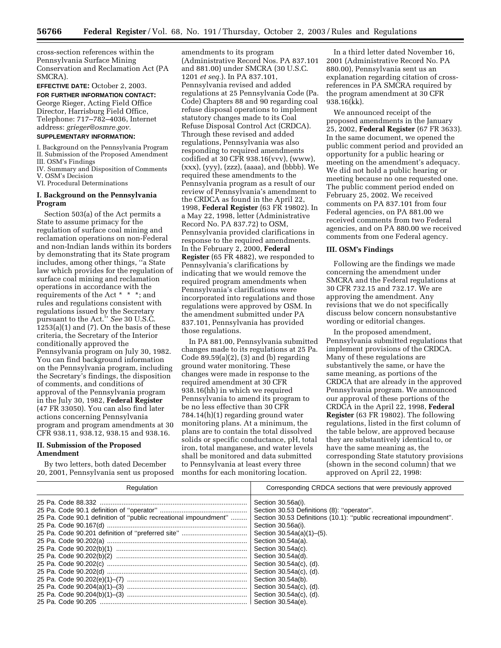cross-section references within the Pennsylvania Surface Mining Conservation and Reclamation Act (PA SMCRA).

**EFFECTIVE DATE:** October 2, 2003. **FOR FURTHER INFORMATION CONTACT:** George Rieger, Acting Field Office Director, Harrisburg Field Office, Telephone: 717–782–4036, Internet address: *grieger@osmre.gov.*

# **SUPPLEMENTARY INFORMATION:**

I. Background on the Pennsylvania Program

II. Submission of the Proposed Amendment III. OSM's Findings

IV. Summary and Disposition of Comments V. OSM's Decision

VI. Procedural Determinations

## **I. Background on the Pennsylvania Program**

Section 503(a) of the Act permits a State to assume primacy for the regulation of surface coal mining and reclamation operations on non-Federal and non-Indian lands within its borders by demonstrating that its State program includes, among other things, ''a State law which provides for the regulation of surface coal mining and reclamation operations in accordance with the requirements of the Act \* \* \*; and rules and regulations consistent with regulations issued by the Secretary pursuant to the Act.'' *See* 30 U.S.C.  $1253(a)(1)$  and  $(7)$ . On the basis of these criteria, the Secretary of the Interior conditionally approved the Pennsylvania program on July 30, 1982. You can find background information on the Pennsylvania program, including the Secretary's findings, the disposition of comments, and conditions of approval of the Pennsylvania program in the July 30, 1982, **Federal Register** (47 FR 33050). You can also find later actions concerning Pennsylvania program and program amendments at 30 CFR 938.11, 938.12, 938.15 and 938.16.

# **II. Submission of the Proposed Amendment**

By two letters, both dated December 20, 2001, Pennsylvania sent us proposed

amendments to its program (Administrative Record Nos. PA 837.101 and 881.00) under SMCRA (30 U.S.C. 1201 *et seq.*). In PA 837.101, Pennsylvania revised and added regulations at 25 Pennsylvania Code (Pa. Code) Chapters 88 and 90 regarding coal refuse disposal operations to implement statutory changes made to its Coal Refuse Disposal Control Act (CRDCA). Through these revised and added regulations, Pennsylvania was also responding to required amendments codified at 30 CFR 938.16(vvv), (www), (xxx), (yyy), (zzz), (aaaa), and (bbbb). We required these amendments to the Pennsylvania program as a result of our review of Pennsylvania's amendment to the CRDCA as found in the April 22, 1998, **Federal Register** (63 FR 19802). In a May 22, 1998, letter (Administrative Record No. PA 837.72) to OSM, Pennsylvania provided clarifications in response to the required amendments. In the February 2, 2000, **Federal Register** (65 FR 4882), we responded to Pennsylvania's clarifications by indicating that we would remove the required program amendments when Pennsylvania's clarifications were incorporated into regulations and those regulations were approved by OSM. In the amendment submitted under PA 837.101, Pennsylvania has provided those regulations.

In PA 881.00, Pennsylvania submitted changes made to its regulations at 25 Pa. Code  $89.59(a)(2)$ ,  $(3)$  and  $(b)$  regarding ground water monitoring. These changes were made in response to the required amendment at 30 CFR 938.16(hh) in which we required Pennsylvania to amend its program to be no less effective than 30 CFR 784.14(h)(1) regarding ground water monitoring plans. At a minimum, the plans are to contain the total dissolved solids or specific conductance, pH, total iron, total manganese, and water levels shall be monitored and data submitted to Pennsylvania at least every three months for each monitoring location.

In a third letter dated November 16, 2001 (Administrative Record No. PA 880.00), Pennsylvania sent us an explanation regarding citation of crossreferences in PA SMCRA required by the program amendment at 30 CFR 938.16(kk).

We announced receipt of the proposed amendments in the January 25, 2002, **Federal Register** (67 FR 3633). In the same document, we opened the public comment period and provided an opportunity for a public hearing or meeting on the amendment's adequacy. We did not hold a public hearing or meeting because no one requested one. The public comment period ended on February 25, 2002. We received comments on PA 837.101 from four Federal agencies, on PA 881.00 we received comments from two Federal agencies, and on PA 880.00 we received comments from one Federal agency.

#### **III. OSM's Findings**

Following are the findings we made concerning the amendment under SMCRA and the Federal regulations at 30 CFR 732.15 and 732.17. We are approving the amendment. Any revisions that we do not specifically discuss below concern nonsubstantive wording or editorial changes.

In the proposed amendment, Pennsylvania submitted regulations that implement provisions of the CRDCA. Many of these regulations are substantively the same, or have the same meaning, as portions of the CRDCA that are already in the approved Pennsylvania program. We announced our approval of these portions of the CRDCA in the April 22, 1998, **Federal Register** (63 FR 19802). The following regulations, listed in the first column of the table below, are approved because they are substantively identical to, or have the same meaning as, the corresponding State statutory provisions (shown in the second column) that we approved on April 22, 1998:

| Regulation                                                       | Corresponding CRDCA sections that were previously approved           |  |  |
|------------------------------------------------------------------|----------------------------------------------------------------------|--|--|
|                                                                  | Section 30.56a(i).                                                   |  |  |
|                                                                  | Section 30.53 Definitions (8): "operator".                           |  |  |
| 25 Pa. Code 90.1 definition of "public recreational impoundment" | Section 30.53 Definitions (10.1): "public recreational impoundment". |  |  |
|                                                                  | Section 30.56a(i).                                                   |  |  |
|                                                                  | Section 30.54a(a)(1)-(5).                                            |  |  |
|                                                                  | Section 30.54a(a).                                                   |  |  |
|                                                                  | Section $30.54a(c)$ .                                                |  |  |
|                                                                  | Section 30.54a(d).                                                   |  |  |
|                                                                  | Section 30.54a(c), (d).                                              |  |  |
|                                                                  | Section 30.54a(c), (d).                                              |  |  |
|                                                                  | Section 30.54a(b).                                                   |  |  |
|                                                                  | Section 30.54a(c), (d).                                              |  |  |
|                                                                  | Section 30.54a(c), (d).                                              |  |  |
|                                                                  | Section 30.54a(e).                                                   |  |  |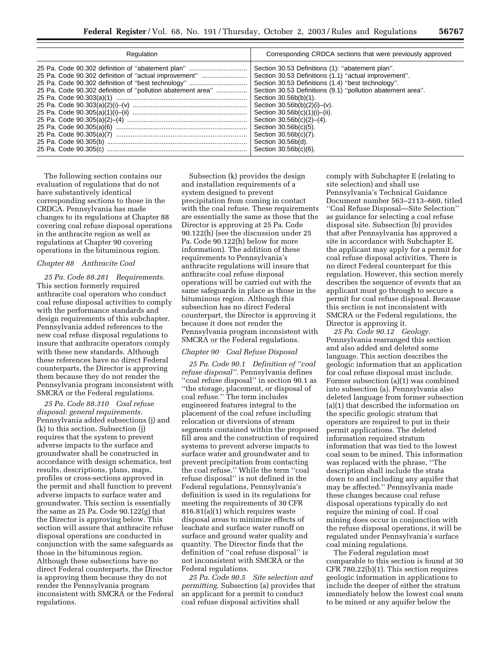| Regulation                                                  | Corresponding CRDCA sections that were previously approved  |
|-------------------------------------------------------------|-------------------------------------------------------------|
| 25 Pa. Code 90.302 definition of "abatement plan"           | Section 30.53 Definitions (1): "abatement plan".            |
| 25 Pa. Code 90.302 definition of "actual improvement"       | Section 30.53 Definitions (1.1) "actual improvement".       |
|                                                             | Section 30.53 Definitions (1.4) "best technology".          |
| 25 Pa. Code 90.302 definition of "pollution abatement area" | Section 30.53 Definitions (9.1) "pollution abatement area". |
|                                                             | Section 30.56b(b)(1).                                       |
|                                                             | Section $30.56b(b)(2)(i)$ –(v).                             |
|                                                             | Section $30.56b(c)(1)(i)$ –(ii).                            |
|                                                             | Section $30.56b(c)(2)–(4)$ .                                |
|                                                             | Section 30.56b(c)(5).                                       |
|                                                             | Section 30.56b(c)(7).                                       |
|                                                             | Section 30.56b(d).                                          |
|                                                             | Section 30.56b(c)(6).                                       |

The following section contains our evaluation of regulations that do not have substantively identical corresponding sections to those in the CRDCA. Pennsylvania has made changes to its regulations at Chapter 88 covering coal refuse disposal operations in the anthracite region as well as regulations at Chapter 90 covering operations in the bituminous region.

## *Chapter 88 Anthracite Coal*

*25 Pa. Code 88.281 Requirements.* This section formerly required anthracite coal operators who conduct coal refuse disposal activities to comply with the performance standards and design requirements of this subchapter. Pennsylvania added references to the new coal refuse disposal regulations to insure that anthracite operators comply with these new standards. Although these references have no direct Federal counterparts, the Director is approving them because they do not render the Pennsylvania program inconsistent with SMCRA or the Federal regulations.

*25 Pa. Code 88.310 Coal refuse disposal: general requirements.* Pennsylvania added subsections (j) and (k) to this section. Subsection (j) requires that the system to prevent adverse impacts to the surface and groundwater shall be constructed in accordance with design schematics, test results, descriptions, plans, maps, profiles or cross-sections approved in the permit and shall function to prevent adverse impacts to surface water and groundwater. This section is essentially the same as 25 Pa. Code 90.122(g) that the Director is approving below. This section will assure that anthracite refuse disposal operations are conducted in conjunction with the same safeguards as those in the bituminous region. Although these subsections have no direct Federal counterparts, the Director is approving them because they do not render the Pennsylvania program inconsistent with SMCRA or the Federal regulations.

Subsection (k) provides the design and installation requirements of a system designed to prevent precipitation from coming in contact with the coal refuse. These requirements are essentially the same as those that the Director is approving at 25 Pa. Code 90.122(h) (see the discussion under 25 Pa. Code 90.122(h) below for more information). The addition of these requirements to Pennsylvania's anthracite regulations will insure that anthracite coal refuse disposal operations will be carried out with the same safeguards in place as those in the bituminous region. Although this subsection has no direct Federal counterpart, the Director is approving it because it does not render the Pennsylvania program inconsistent with SMCRA or the Federal regulations.

## *Chapter 90 Coal Refuse Disposal*

*25 Pa. Code 90.1 Definition of ''coal refuse disposal''.* Pennsylvania defines "coal refuse disposal" in section 90.1 as ''the storage, placement, or disposal of coal refuse.'' The term includes engineered features integral to the placement of the coal refuse including relocation or diversions of stream segments contained within the proposed fill area and the construction of required systems to prevent adverse impacts to surface water and groundwater and to prevent precipitation from contacting the coal refuse.'' While the term ''coal refuse disposal'' is not defined in the Federal regulations, Pennsylvania's definition is used in its regulations for meeting the requirements of 30 CFR 816.81(a)(1) which requires waste disposal areas to minimize effects of leachate and surface water runoff on surface and ground water quality and quantity. The Director finds that the definition of ''coal refuse disposal'' is not inconsistent with SMCRA or the Federal regulations.

*25 Pa. Code 90.5 Site selection and permitting.* Subsection (a) provides that an applicant for a permit to conduct coal refuse disposal activities shall

comply with Subchapter E (relating to site selection) and shall use Pennsylvania's Technical Guidance Document number 563–2113–660, titled ''Coal Refuse Disposal—Site Selection'' as guidance for selecting a coal refuse disposal site. Subsection (b) provides that after Pennsylvania has approved a site in accordance with Subchapter E, the applicant may apply for a permit for coal refuse disposal activities. There is no direct Federal counterpart for this regulation. However, this section merely describes the sequence of events that an applicant must go through to secure a permit for coal refuse disposal. Because this section is not inconsistent with SMCRA or the Federal regulations, the Director is approving it.

*25 Pa. Code 90.12 Geology.* Pennsylvania rearranged this section and also added and deleted some language. This section describes the geologic information that an application for coal refuse disposal must include. Former subsection (a)(1) was combined into subsection (a). Pennsylvania also deleted language from former subsection (a)(1) that described the information on the specific geologic stratum that operators are required to put in their permit applications. The deleted information required stratum information that was tied to the lowest coal seam to be mined. This information was replaced with the phrase, ''The description shall include the strata down to and including any aquifer that may be affected.'' Pennsylvania made these changes because coal refuse disposal operations typically do not require the mining of coal. If coal mining does occur in conjunction with the refuse disposal operations, it will be regulated under Pennsylvania's surface coal mining regulations.

The Federal regulation most comparable to this section is found at 30 CFR 780.22(b)(1). This section requires geologic information in applications to include the deeper of either the stratum immediately below the lowest coal seam to be mined or any aquifer below the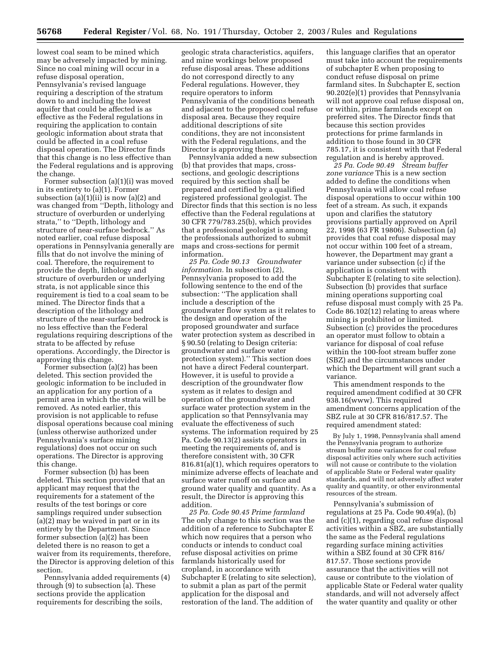lowest coal seam to be mined which may be adversely impacted by mining. Since no coal mining will occur in a refuse disposal operation, Pennsylvania's revised language requiring a description of the stratum down to and including the lowest aquifer that could be affected is as effective as the Federal regulations in requiring the application to contain geologic information about strata that could be affected in a coal refuse disposal operation. The Director finds that this change is no less effective than the Federal regulations and is approving the change.

Former subsection (a)(1)(i) was moved in its entirety to (a)(1). Former subsection (a)(1)(ii) is now (a)(2) and was changed from ''Depth, lithology and structure of overburden or underlying strata,'' to ''Depth, lithology and structure of near-surface bedrock.'' As noted earlier, coal refuse disposal operations in Pennsylvania generally are fills that do not involve the mining of coal. Therefore, the requirement to provide the depth, lithology and structure of overburden or underlying strata, is not applicable since this requirement is tied to a coal seam to be mined. The Director finds that a description of the lithology and structure of the near-surface bedrock is no less effective than the Federal regulations requiring descriptions of the strata to be affected by refuse operations. Accordingly, the Director is approving this change.

Former subsection (a)(2) has been deleted. This section provided the geologic information to be included in an application for any portion of a permit area in which the strata will be removed. As noted earlier, this provision is not applicable to refuse disposal operations because coal mining (unless otherwise authorized under Pennsylvania's surface mining regulations) does not occur on such operations. The Director is approving this change.

Former subsection (b) has been deleted. This section provided that an applicant may request that the requirements for a statement of the results of the test borings or core samplings required under subsection (a)(2) may be waived in part or in its entirety by the Department. Since former subsection (a)(2) has been deleted there is no reason to get a waiver from its requirements, therefore, the Director is approving deletion of this section.

Pennsylvania added requirements (4) through (9) to subsection (a). These sections provide the application requirements for describing the soils,

geologic strata characteristics, aquifers, and mine workings below proposed refuse disposal areas. These additions do not correspond directly to any Federal regulations. However, they require operators to inform Pennsylvania of the conditions beneath and adjacent to the proposed coal refuse disposal area. Because they require additional descriptions of site conditions, they are not inconsistent with the Federal regulations, and the Director is approving them.

Pennsylvania added a new subsection (b) that provides that maps, crosssections, and geologic descriptions required by this section shall be prepared and certified by a qualified registered professional geologist. The Director finds that this section is no less effective than the Federal regulations at 30 CFR 779/783.25(b), which provides that a professional geologist is among the professionals authorized to submit maps and cross-sections for permit information.

*25 Pa. Code 90.13 Groundwater information.* In subsection (2), Pennsylvania proposed to add the following sentence to the end of the subsection: ''The application shall include a description of the groundwater flow system as it relates to the design and operation of the proposed groundwater and surface water protection system as described in § 90.50 (relating to Design criteria: groundwater and surface water protection system).'' This section does not have a direct Federal counterpart. However, it is useful to provide a description of the groundwater flow system as it relates to design and operation of the groundwater and surface water protection system in the application so that Pennsylvania may evaluate the effectiveness of such systems. The information required by 25 Pa. Code 90.13(2) assists operators in meeting the requirements of, and is therefore consistent with, 30 CFR 816.81(a)(1), which requires operators to minimize adverse effects of leachate and surface water runoff on surface and ground water quality and quantity. As a result, the Director is approving this addition.

*25 Pa. Code 90.45 Prime farmland* The only change to this section was the addition of a reference to Subchapter E which now requires that a person who conducts or intends to conduct coal refuse disposal activities on prime farmlands historically used for cropland, in accordance with Subchapter E (relating to site selection), to submit a plan as part of the permit application for the disposal and restoration of the land. The addition of

this language clarifies that an operator must take into account the requirements of subchapter E when proposing to conduct refuse disposal on prime farmland sites. In Subchapter E, section 90.202(e)(1) provides that Pennsylvania will not approve coal refuse disposal on, or within, prime farmlands except on preferred sites. The Director finds that because this section provides protections for prime farmlands in addition to those found in 30 CFR 785.17, it is consistent with that Federal regulation and is hereby approved.

*25 Pa. Code 90.49 Stream buffer zone variance* This is a new section added to define the conditions when Pennsylvania will allow coal refuse disposal operations to occur within 100 feet of a stream. As such, it expands upon and clarifies the statutory provisions partially approved on April 22, 1998 (63 FR 19806). Subsection (a) provides that coal refuse disposal may not occur within 100 feet of a stream, however, the Department may grant a variance under subsection (c) if the application is consistent with Subchapter E (relating to site selection). Subsection (b) provides that surface mining operations supporting coal refuse disposal must comply with 25 Pa. Code 86.102(12) relating to areas where mining is prohibited or limited. Subsection (c) provides the procedures an operator must follow to obtain a variance for disposal of coal refuse within the 100-foot stream buffer zone (SBZ) and the circumstances under which the Department will grant such a variance.

This amendment responds to the required amendment codified at 30 CFR 938.16(www). This required amendment concerns application of the SBZ rule at 30 CFR 816/817.57. The required amendment stated:

By July 1, 1998, Pennsylvania shall amend the Pennsylvania program to authorize stream buffer zone variances for coal refuse disposal activities only where such activities will not cause or contribute to the violation of applicable State or Federal water quality standards, and will not adversely affect water quality and quantity, or other environmental resources of the stream.

Pennsylvania's submission of regulations at 25 Pa. Code 90.49(a), (b) and (c)(1), regarding coal refuse disposal activities within a SBZ, are substantially the same as the Federal regulations regarding surface mining activities within a SBZ found at 30 CFR 816/ 817.57. Those sections provide assurance that the activities will not cause or contribute to the violation of applicable State or Federal water quality standards, and will not adversely affect the water quantity and quality or other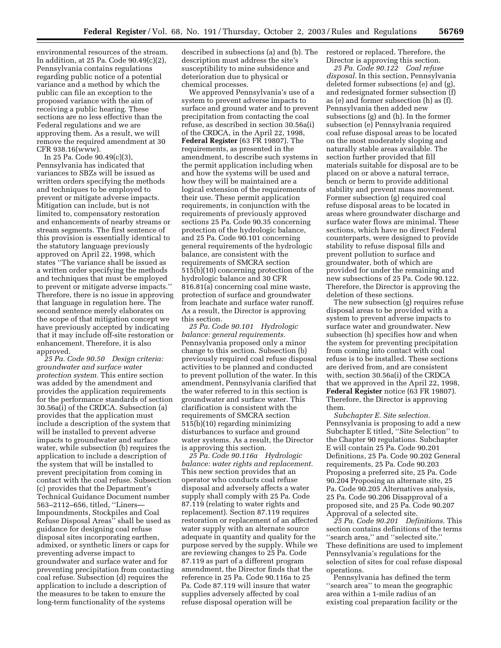environmental resources of the stream. In addition, at 25 Pa. Code 90.49(c)(2), Pennsylvania contains regulations regarding public notice of a potential variance and a method by which the public can file an exception to the proposed variance with the aim of receiving a public hearing. These sections are no less effective than the Federal regulations and we are approving them. As a result, we will remove the required amendment at 30 CFR 938.16(www).

In 25 Pa. Code 90.49(c)(3), Pennsylvania has indicated that variances to SBZs will be issued as written orders specifying the methods and techniques to be employed to prevent or mitigate adverse impacts. Mitigation can include, but is not limited to, compensatory restoration and enhancements of nearby streams or stream segments. The first sentence of this provision is essentially identical to the statutory language previously approved on April 22, 1998, which states ''The variance shall be issued as a written order specifying the methods and techniques that must be employed to prevent or mitigate adverse impacts.'' Therefore, there is no issue in approving that language in regulation here. The second sentence merely elaborates on the scope of that mitigation concept we have previously accepted by indicating that it may include off-site restoration or enhancement. Therefore, it is also approved.

*25 Pa. Code 90.50 Design criteria: groundwater and surface water protection system.* This entire section was added by the amendment and provides the application requirements for the performance standards of section 30.56a(i) of the CRDCA. Subsection (a) provides that the application must include a description of the system that will be installed to prevent adverse impacts to groundwater and surface water, while subsection (b) requires the application to include a description of the system that will be installed to prevent precipitation from coming in contact with the coal refuse. Subsection (c) provides that the Department's Technical Guidance Document number 563–2112–656, titled, ''Liners— Impoundments, Stockpiles and Coal Refuse Disposal Areas'' shall be used as guidance for designing coal refuse disposal sites incorporating earthen, admixed, or synthetic liners or caps for preventing adverse impact to groundwater and surface water and for preventing precipitation from contacting coal refuse. Subsection (d) requires the application to include a description of the measures to be taken to ensure the long-term functionality of the systems

described in subsections (a) and (b). The description must address the site's susceptibility to mine subsidence and deterioration due to physical or chemical processes.

We approved Pennsylvania's use of a system to prevent adverse impacts to surface and ground water and to prevent precipitation from contacting the coal refuse, as described in section 30.56a(i) of the CRDCA, in the April 22, 1998, **Federal Register** (63 FR 19807). The requirements, as presented in the amendment, to describe such systems in the permit application including when and how the systems will be used and how they will be maintained are a logical extension of the requirements of their use. These permit application requirements, in conjunction with the requirements of previously approved sections 25 Pa. Code 90.35 concerning protection of the hydrologic balance, and 25 Pa. Code 90.101 concerning general requirements of the hydrologic balance, are consistent with the requirements of SMCRA section 515(b)(10) concerning protection of the hydrologic balance and 30 CFR 816.81(a) concerning coal mine waste, protection of surface and groundwater from leachate and surface water runoff. As a result, the Director is approving this section.

*25 Pa. Code 90.101 Hydrologic balance: general requirements.* Pennsylvania proposed only a minor change to this section. Subsection (b) previously required coal refuse disposal activities to be planned and conducted to prevent pollution of the water. In this amendment, Pennsylvania clarified that the water referred to in this section is groundwater and surface water. This clarification is consistent with the requirements of SMCRA section 515(b)(10) regarding minimizing disturbances to surface and ground water systems. As a result, the Director is approving this section.

*25 Pa. Code 90.116a Hydrologic balance: water rights and replacement.* This new section provides that an operator who conducts coal refuse disposal and adversely affects a water supply shall comply with 25 Pa. Code 87.119 (relating to water rights and replacement). Section 87.119 requires restoration or replacement of an affected water supply with an alternate source adequate in quantity and quality for the purpose served by the supply. While we are reviewing changes to 25 Pa. Code 87.119 as part of a different program amendment, the Director finds that the reference in 25 Pa. Code 90.116a to 25 Pa. Code 87.119 will insure that water supplies adversely affected by coal refuse disposal operation will be

restored or replaced. Therefore, the Director is approving this section.

*25 Pa. Code 90.122 Coal refuse disposal.* In this section, Pennsylvania deleted former subsections (e) and (g), and redesignated former subsection (f) as (e) and former subsection (h) as (f). Pennsylvania then added new subsections (g) and (h). In the former subsection (e) Pennsylvania required coal refuse disposal areas to be located on the most moderately sloping and naturally stable areas available. The section further provided that fill materials suitable for disposal are to be placed on or above a natural terrace, bench or berm to provide additional stability and prevent mass movement. Former subsection (g) required coal refuse disposal areas to be located in areas where groundwater discharge and surface water flows are minimal. These sections, which have no direct Federal counterparts, were designed to provide stability to refuse disposal fills and prevent pollution to surface and groundwater, both of which are provided for under the remaining and new subsections of 25 Pa. Code 90.122. Therefore, the Director is approving the deletion of these sections.

The new subsection (g) requires refuse disposal areas to be provided with a system to prevent adverse impacts to surface water and groundwater. New subsection (h) specifies how and when the system for preventing precipitation from coming into contact with coal refuse is to be installed. These sections are derived from, and are consistent with, section 30.56a(i) of the CRDCA that we approved in the April 22, 1998, **Federal Register** notice (63 FR 19807). Therefore, the Director is approving them.

*Subchapter E. Site selection.* Pennsylvania is proposing to add a new Subchapter E titled, ''Site Selection'' to the Chapter 90 regulations. Subchapter E will contain 25 Pa. Code 90.201 Definitions, 25 Pa. Code 90.202 General requirements, 25 Pa. Code 90.203 Proposing a preferred site, 25 Pa. Code 90.204 Proposing an alternate site, 25 Pa. Code 90.205 Alternatives analysis, 25 Pa. Code 90.206 Disapproval of a proposed site, and 25 Pa. Code 90.207 Approval of a selected site.

*25 Pa. Code 90.201 Definitions.* This section contains definitions of the terms ''search area,'' and ''selected site.'' These definitions are used to implement Pennsylvania's regulations for the selection of sites for coal refuse disposal operations.

Pennsylvania has defined the term ''search area'' to mean the geographic area within a 1-mile radius of an existing coal preparation facility or the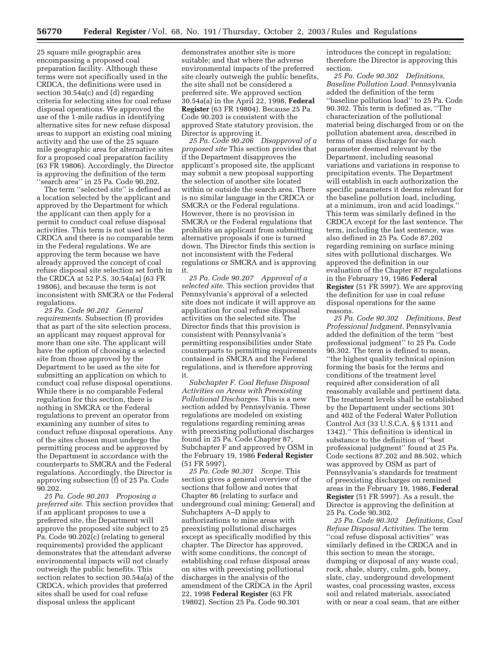25 square mile geographic area encompassing a proposed coal preparation facility. Although these terms were not specifically used in the CRDCA, the definitions were used in section 30.54a(c) and (d) regarding criteria for selecting sites for coal refuse disposal operations. We approved the use of the 1-mile radius in identifying alternative sites for new refuse disposal areas to support an existing coal mining activity and the use of the 25 square mile geographic area for alternative sites for a proposed coal preparation facility (63 FR 19806). Accordingly, the Director is approving the definition of the term ''search area'' in 25 Pa. Code 90.202.

The term ''selected site'' is defined as a location selected by the applicant and approved by the Department for which the applicant can then apply for a permit to conduct coal refuse disposal activities. This term is not used in the CRDCA and there is no comparable term in the Federal regulations. We are approving the term because we have already approved the concept of coal refuse disposal site selection set forth in the CRDCA at 52 P.S. 30.54a(a) (63 FR 19806), and because the term is not inconsistent with SMCRA or the Federal regulations.

*25 Pa. Code 90.202 General requirements.* Subsection (f) provides that as part of the site selection process, an applicant may request approval for more than one site. The applicant will have the option of choosing a selected site from those approved by the Department to be used as the site for submitting an application on which to conduct coal refuse disposal operations. While there is no comparable Federal regulation for this section, there is nothing in SMCRA or the Federal regulations to prevent an operator from examining any number of sites to conduct refuse disposal operations. Any of the sites chosen must undergo the permitting process and be approved by the Department in accordance with the counterparts to SMCRA and the Federal regulations. Accordingly, the Director is approving subsection (f) of 25 Pa. Code 90.202.

*25 Pa. Code 90.203 Proposing a preferred site.* This section provides that if an applicant proposes to use a preferred site, the Department will approve the proposed site subject to 25 Pa. Code 90.202(c) (relating to general requirements) provided the applicant demonstrates that the attendant adverse environmental impacts will not clearly outweigh the public benefits. This section relates to section 30.54a(a) of the CRDCA, which provides that preferred sites shall be used for coal refuse disposal unless the applicant

demonstrates another site is more suitable; and that where the adverse environmental impacts of the preferred site clearly outweigh the public benefits, the site shall not be considered a preferred site. We approved section 30.54a(a) in the April 22, 1998, **Federal Register** (63 FR 19804). Because 25 Pa. Code 90.203 is consistent with the approved State statutory provision, the Director is approving it.

*25 Pa. Code 90.206 Disapproval of a proposed site* This section provides that if the Department disapproves the applicant's proposed site, the applicant may submit a new proposal supporting the selection of another site located within or outside the search area. There is no similar language in the CRDCA or SMCRA or the Federal regulations. However, there is no provision in SMCRA or the Federal regulations that prohibits an applicant from submitting alternative proposals if one is turned down. The Director finds this section is not inconsistent with the Federal regulations or SMCRA and is approving it.

*25 Pa. Code 90.207 Approval of a selected site.* This section provides that Pennsylvania's approval of a selected site does not indicate it will approve an application for coal refuse disposal activities on the selected site. The Director finds that this provision is consistent with Pennsylvania's permitting responsibilities under State counterparts to permitting requirements contained in SMCRA and the Federal regulations, and is therefore approving it.

*Subchapter F. Coal Refuse Disposal Activities on Areas with Preexisting Pollutional Discharges.* This is a new section added by Pennsylvania. These regulations are modeled on existing regulations regarding remining areas with preexisting pollutional discharges found in 25 Pa. Code Chapter 87, Subchapter F and approved by OSM in the February 19, 1986 **Federal Register** (51 FR 5997).

*25 Pa. Code 90.301 Scope.* This section gives a general overview of the sections that follow and notes that Chapter 86 (relating to surface and underground coal mining: General) and Subchapters A–D apply to authorizations to mine areas with preexisting pollutional discharges except as specifically modified by this chapter. The Director has approved, with some conditions, the concept of establishing coal refuse disposal areas on sites with preexisting pollutional discharges in the analysis of the amendment of the CRDCA in the April 22, 1998 **Federal Register** (63 FR 19802). Section 25 Pa. Code 90.301

introduces the concept in regulation; therefore the Director is approving this section.

*25 Pa. Code 90.302 Definitions, Baseline Pollution Load.* Pennsylvania added the definition of the term ''baseline pollution load'' to 25 Pa. Code 90.302. This term is defined as, ''The characterization of the pollutional material being discharged from or on the pollution abatement area, described in terms of mass discharge for each parameter deemed relevant by the Department, including seasonal variations and variations in response to precipitation events. The Department will establish in each authorization the specific parameters it deems relevant for the baseline pollution load, including, at a minimum, iron and acid loadings.'' This term was similarly defined in the CRDCA except for the last sentence. The term, including the last sentence, was also defined in 25 Pa. Code 87.202 regarding remining on surface mining sites with pollutional discharges. We approved the definition in our evaluation of the Chapter 87 regulations in the February 19, 1986 **Federal Register** (51 FR 5997). We are approving the definition for use in coal refuse disposal operations for the same reasons.

*25 Pa. Code 90.302 Definitions, Best Professional Judgment.* Pennsylvania added the definition of the term ''best professional judgment'' to 25 Pa. Code 90.302. The term is defined to mean, ''the highest quality technical opinion forming the basis for the terms and conditions of the treatment level required after consideration of all reasonably available and pertinent data. The treatment levels shall be established by the Department under sections 301 and 402 of the Federal Water Pollution Control Act (33 U.S.C.A. § § 1311 and 1342).'' This definition is identical in substance to the definition of ''best professional judgment'' found at 25 Pa. Code sections 87.202 and 88.502, which was approved by OSM as part of Pennsylvania's standards for treatment of preexisting discharges on remined areas in the February 19, 1986, **Federal Register** (51 FR 5997). As a result, the Director is approving the definition at 25 Pa. Code 90.302.

*25 Pa. Code 90.302 Definitions, Coal Refuse Disposal Activities.* The term ''coal refuse disposal activities'' was similarly defined in the CRDCA and in this section to mean the storage, dumping or disposal of any waste coal, rock, shale, slurry, culm, gob, boney, slate, clay, underground development wastes, coal processing wastes, excess soil and related materials, associated with or near a coal seam, that are either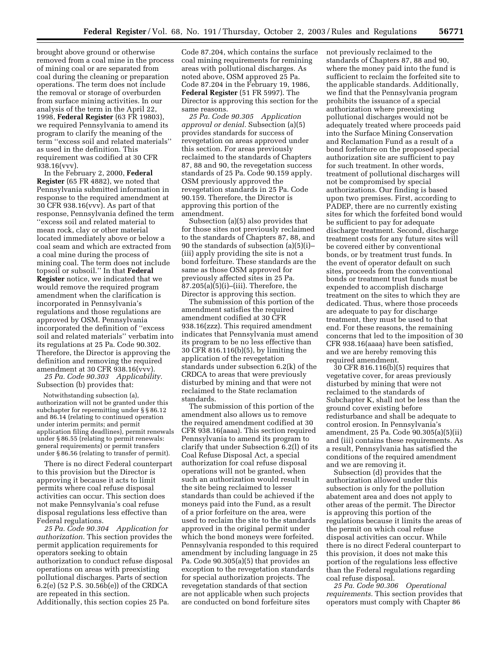brought above ground or otherwise removed from a coal mine in the process of mining coal or are separated from coal during the cleaning or preparation operations. The term does not include the removal or storage of overburden from surface mining activities. In our analysis of the term in the April 22, 1998, **Federal Register** (63 FR 19803), we required Pennsylvania to amend its program to clarify the meaning of the term ''excess soil and related materials'' as used in the definition. This requirement was codified at 30 CFR 938.16(vvv).

In the February 2, 2000, **Federal Register** (65 FR 4882), we noted that Pennsylvania submitted information in response to the required amendment at 30 CFR 938.16(vvv). As part of that response, Pennsylvania defined the term ''excess soil and related material to mean rock, clay or other material located immediately above or below a coal seam and which are extracted from a coal mine during the process of mining coal. The term does not include topsoil or subsoil.'' In that **Federal Register** notice, we indicated that we would remove the required program amendment when the clarification is incorporated in Pennsylvania's regulations and those regulations are approved by OSM. Pennsylvania incorporated the definition of ''excess soil and related materials'' verbatim into its regulations at 25 Pa. Code 90.302. Therefore, the Director is approving the definition and removing the required amendment at 30 CFR 938.16(vvv).

*25 Pa. Code 90.303 Applicability.* Subsection (b) provides that:

Notwithstanding subsection (a), authorization will not be granted under this subchapter for repermitting under § § 86.12 and 86.14 (relating to continued operation under interim permits; and permit application filing deadlines), permit renewals under § 86.55 (relating to permit renewals: general requirements) or permit transfers under § 86.56 (relating to transfer of permit).

There is no direct Federal counterpart to this provision but the Director is approving it because it acts to limit permits where coal refuse disposal activities can occur. This section does not make Pennsylvania's coal refuse disposal regulations less effective than Federal regulations.

*25 Pa. Code 90.304 Application for authorization.* This section provides the permit application requirements for operators seeking to obtain authorization to conduct refuse disposal operations on areas with preexisting pollutional discharges. Parts of section 6.2(e) (52 P.S. 30.56b(e)) of the CRDCA are repeated in this section. Additionally, this section copies 25 Pa.

Code 87.204, which contains the surface coal mining requirements for remining areas with pollutional discharges. As noted above, OSM approved 25 Pa. Code 87.204 in the February 19, 1986, **Federal Register** (51 FR 5997). The Director is approving this section for the same reasons.

*25 Pa. Code 90.305 Application approval or denial.* Subsection (a)(5) provides standards for success of revegetation on areas approved under this section. For areas previously reclaimed to the standards of Chapters 87, 88 and 90, the revegetation success standards of 25 Pa. Code 90.159 apply. OSM previously approved the revegetation standards in 25 Pa. Code 90.159. Therefore, the Director is approving this portion of the amendment.

Subsection (a)(5) also provides that for those sites not previously reclaimed to the standards of Chapters 87, 88, and 90 the standards of subsection (a)(5)(i)– (iii) apply providing the site is not a bond forfeiture. These standards are the same as those OSM approved for previously affected sites in 25 Pa.  $87.205(a)(5)(i)$ –(iii). Therefore, the Director is approving this section.

The submission of this portion of the amendment satisfies the required amendment codified at 30 CFR 938.16(zzz). This required amendment indicates that Pennsylvania must amend its program to be no less effective than 30 CFR 816.116(b)(5), by limiting the application of the revegetation standards under subsection 6.2(k) of the CRDCA to areas that were previously disturbed by mining and that were not reclaimed to the State reclamation standards.

The submission of this portion of the amendment also allows us to remove the required amendment codified at 30 CFR 938.16(aaaa). This section required Pennsylvania to amend its program to clarify that under Subsection 6.2(l) of its Coal Refuse Disposal Act, a special authorization for coal refuse disposal operations will not be granted, when such an authorization would result in the site being reclaimed to lesser standards than could be achieved if the moneys paid into the Fund, as a result of a prior forfeiture on the area, were used to reclaim the site to the standards approved in the original permit under which the bond moneys were forfeited. Pennsylvania responded to this required amendment by including language in 25 Pa. Code 90.305(a)(5) that provides an exception to the revegetation standards for special authorization projects. The revegetation standards of that section are not applicable when such projects are conducted on bond forfeiture sites

not previously reclaimed to the standards of Chapters 87, 88 and 90, where the money paid into the fund is sufficient to reclaim the forfeited site to the applicable standards. Additionally, we find that the Pennsylvania program prohibits the issuance of a special authorization where preexisting pollutional discharges would not be adequately treated where proceeds paid into the Surface Mining Conservation and Reclamation Fund as a result of a bond forfeiture on the proposed special authorization site are sufficient to pay for such treatment. In other words, treatment of pollutional discharges will not be compromised by special authorizations. Our finding is based upon two premises. First, according to PADEP, there are no currently existing sites for which the forfeited bond would be sufficient to pay for adequate discharge treatment. Second, discharge treatment costs for any future sites will be covered either by conventional bonds, or by treatment trust funds. In the event of operator default on such sites, proceeds from the conventional bonds or treatment trust funds must be expended to accomplish discharge treatment on the sites to which they are dedicated. Thus, where those proceeds are adequate to pay for discharge treatment, they must be used to that end. For these reasons, the remaining concerns that led to the imposition of 30 CFR 938.16(aaaa) have been satisfied, and we are hereby removing this required amendment.

30 CFR 816.116(b)(5) requires that vegetative cover, for areas previously disturbed by mining that were not reclaimed to the standards of Subchapter K, shall not be less than the ground cover existing before redisturbance and shall be adequate to control erosion. In Pennsylvania's amendment, 25 Pa. Code 90.305(a)(5)(ii) and (iii) contains these requirements. As a result, Pennsylvania has satisfied the conditions of the required amendment and we are removing it.

Subsection (d) provides that the authorization allowed under this subsection is only for the pollution abatement area and does not apply to other areas of the permit. The Director is approving this portion of the regulations because it limits the areas of the permit on which coal refuse disposal activities can occur. While there is no direct Federal counterpart to this provision, it does not make this portion of the regulations less effective than the Federal regulations regarding coal refuse disposal.

*25 Pa. Code 90.306 Operational requirements.* This section provides that operators must comply with Chapter 86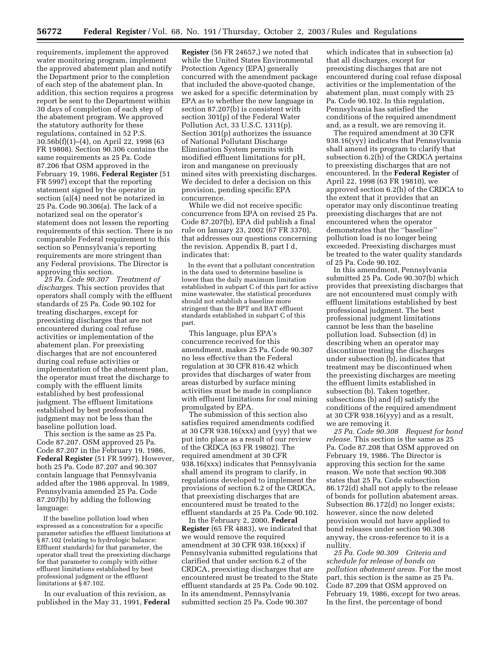requirements, implement the approved water monitoring program, implement the approved abatement plan and notify the Department prior to the completion of each step of the abatement plan. In addition, this section requires a progress report be sent to the Department within 30 days of completion of each step of the abatement program. We approved the statutory authority for these regulations, contained in 52 P.S. 30.56b(f)(1)–(4), on April 22, 1998 (63 FR 19808). Section 90.306 contains the same requirements as 25 Pa. Code 87.206 that OSM approved in the February 19, 1986, **Federal Register** (51 FR 5997) except that the reporting statement signed by the operator in section (a)(4) need not be notarized in 25 Pa. Code 90.306(a). The lack of a notarized seal on the operator's statement does not lessen the reporting requirements of this section. There is no comparable Federal requirement to this section so Pennsylvania's reporting requirements are more stringent than any Federal provisions. The Director is approving this section.

*25 Pa. Code 90.307 Treatment of discharges.* This section provides that operators shall comply with the effluent standards of 25 Pa. Code 90.102 for treating discharges, except for preexisting discharges that are not encountered during coal refuse activities or implementation of the abatement plan. For preexisting discharges that are not encountered during coal refuse activities or implementation of the abatement plan, the operator must treat the discharge to comply with the effluent limits established by best professional judgment. The effluent limitations established by best professional judgment may not be less than the baseline pollution load.

This section is the same as 25 Pa. Code 87.207. OSM approved 25 Pa. Code 87.207 in the February 19, 1986, **Federal Register** (51 FR 5997). However, both 25 Pa. Code 87.207 and 90.307 contain language that Pennsylvania added after the 1986 approval. In 1989, Pennsylvania amended 25 Pa. Code 87.207(b) by adding the following language:

If the baseline pollution load when expressed as a concentration for a specific parameter satisfies the effluent limitations at § 87.102 (relating to hydrologic balance: Effluent standards) for that parameter, the operator shall treat the preexisting discharge for that parameter to comply with either effluent limitations established by best professional judgment or the effluent limitations at § 87.102.

In our evaluation of this revision, as published in the May 31, 1991, **Federal** 

**Register** (56 FR 24657,) we noted that while the United States Environmental Protection Agency (EPA) generally concurred with the amendment package that included the above-quoted change, we asked for a specific determination by EPA as to whether the new language in section 87.207(b) is consistent with section 301(p) of the Federal Water Pollution Act, 33 U.S.C. 1311(p). Section 301(p) authorizes the issuance of National Pollutant Discharge Elimination System permits with modified effluent limitations for pH, iron and manganese on previously mined sites with preexisting discharges. We decided to defer a decision on this provision, pending specific EPA concurrence.

While we did not receive specific concurrence from EPA on revised 25 Pa. Code 87.207(b), EPA did publish a final rule on January 23, 2002 (67 FR 3370), that addresses our questions concerning the revision. Appendix B, part I d, indicates that:

In the event that a pollutant concentration in the data used to determine baseline is lower than the daily maximum limitation established in subpart C of this part for active mine wastewater, the statistical procedures should not establish a baseline more stringent than the BPT and BAT effluent standards established in subpart C of this part.

This language, plus EPA's concurrence received for this amendment, makes 25 Pa. Code 90.307 no less effective than the Federal regulation at 30 CFR 816.42 which provides that discharges of water from areas disturbed by surface mining activities must be made in compliance with effluent limitations for coal mining promulgated by EPA.

The submission of this section also satisfies required amendments codified at 30 CFR 938.16(xxx) and (yyy) that we put into place as a result of our review of the CRDCA (63 FR 19802). The required amendment at 30 CFR 938.16(xxx) indicates that Pennsylvania shall amend its program to clarify, in regulations developed to implement the provisions of section 6.2 of the CRDCA, that preexisting discharges that are encountered must be treated to the effluent standards at 25 Pa. Code 90.102.

In the February 2, 2000, **Federal Register** (65 FR 4883), we indicated that we would remove the required amendment at 30 CFR 938.16(xxx) if Pennsylvania submitted regulations that clarified that under section 6.2 of the CRDCA, preexisting discharges that are encountered must be treated to the State effluent standards at 25 Pa. Code 90.102. In its amendment, Pennsylvania submitted section 25 Pa. Code 90.307

which indicates that in subsection (a) that all discharges, except for preexisting discharges that are not encountered during coal refuse disposal activities or the implementation of the abatement plan, must comply with 25 Pa. Code 90.102. In this regulation, Pennsylvania has satisfied the conditions of the required amendment and, as a result, we are removing it.

The required amendment at 30 CFR 938.16(yyy) indicates that Pennsylvania shall amend its program to clarify that subsection 6.2(h) of the CRDCA pertains to preexisting discharges that are not encountered. In the **Federal Register** of April 22, 1998 (63 FR 19810), we approved section 6.2(h) of the CRDCA to the extent that it provides that an operator may only discontinue treating preexisting discharges that are not encountered when the operator demonstrates that the ''baseline'' pollution load is no longer being exceeded. Preexisting discharges must be treated to the water quality standards of 25 Pa. Code 90.102.

In this amendment, Pennsylvania submitted 25 Pa. Code 90.307(b) which provides that preexisting discharges that are not encountered must comply with effluent limitations established by best professional judgment. The best professional judgment limitations cannot be less than the baseline pollution load. Subsection (d) in describing when an operator may discontinue treating the discharges under subsection (b), indicates that treatment may be discontinued when the preexisting discharges are meeting the effluent limits established in subsection (b). Taken together, subsections (b) and (d) satisfy the conditions of the required amendment at 30 CFR 938.16(yyy) and as a result, we are removing it.

*25 Pa. Code 90.308 Request for bond release.* This section is the same as 25 Pa. Code 87.208 that OSM approved on February 19, 1986. The Director is approving this section for the same reason. We note that section 90.308 states that 25 Pa. Code subsection 86.172(d) shall not apply to the release of bonds for pollution abatement areas. Subsection 86.172(d) no longer exists; however, since the now deleted provision would not have applied to bond releases under section 90.308 anyway, the cross-reference to it is a nullity.

*25 Pa. Code 90.309 Criteria and schedule for release of bonds on pollution abatement areas.* For the most part, this section is the same as 25 Pa. Code 87.209 that OSM approved on February 19, 1986, except for two areas. In the first, the percentage of bond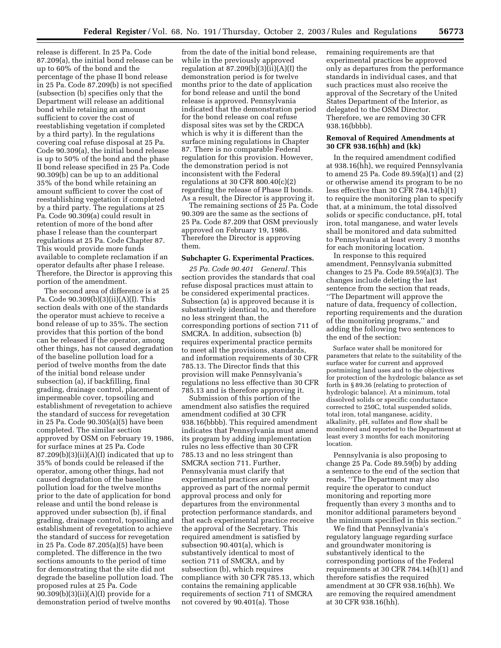release is different. In 25 Pa. Code 87.209(a), the initial bond release can be up to 60% of the bond and the percentage of the phase II bond release in 25 Pa. Code 87.209(b) is not specified (subsection (b) specifies only that the Department will release an additional bond while retaining an amount sufficient to cover the cost of reestablishing vegetation if completed by a third party). In the regulations covering coal refuse disposal at 25 Pa. Code 90.309(a), the initial bond release is up to 50% of the bond and the phase II bond release specified in 25 Pa. Code 90.309(b) can be up to an additional 35% of the bond while retaining an amount sufficient to cover the cost of reestablishing vegetation if completed by a third party. The regulations at 25 Pa. Code 90.309(a) could result in retention of more of the bond after phase I release than the counterpart regulations at 25 Pa. Code Chapter 87. This would provide more funds available to complete reclamation if an operator defaults after phase I release. Therefore, the Director is approving this portion of the amendment.

The second area of difference is at 25 Pa. Code 90.309(b)(3)(ii)(A)(I). This section deals with one of the standards the operator must achieve to receive a bond release of up to 35%. The section provides that this portion of the bond can be released if the operator, among other things, has not caused degradation of the baseline pollution load for a period of twelve months from the date of the initial bond release under subsection (a), if backfilling, final grading, drainage control, placement of impermeable cover, topsoiling and establishment of revegetation to achieve the standard of success for revegetation in 25 Pa. Code 90.305(a)(5) have been completed. The similar section approved by OSM on February 19, 1986, for surface mines at 25 Pa. Code  $87.209(b)(3)(ii)(A)(I)$  indicated that up to 35% of bonds could be released if the operator, among other things, had not caused degradation of the baseline pollution load for the twelve months prior to the date of application for bond release and until the bond release is approved under subsection (b), if final grading, drainage control, topsoiling and establishment of revegetation to achieve the standard of success for revegetation in 25 Pa. Code 87.205(a)(5) have been completed. The difference in the two sections amounts to the period of time for demonstrating that the site did not degrade the baseline pollution load. The proposed rules at 25 Pa. Code  $90.309(b)(3)(ii)(A)(I)$  provide for a demonstration period of twelve months

from the date of the initial bond release, while in the previously approved regulation at  $87.209(b)(3)(ii)(A)(I)$  the demonstration period is for twelve months prior to the date of application for bond release and until the bond release is approved. Pennsylvania indicated that the demonstration period for the bond release on coal refuse disposal sites was set by the CRDCA which is why it is different than the surface mining regulations in Chapter 87. There is no comparable Federal regulation for this provision. However, the demonstration period is not inconsistent with the Federal regulations at 30 CFR  $800.40(c)(2)$ regarding the release of Phase II bonds. As a result, the Director is approving it.

The remaining sections of 25 Pa. Code 90.309 are the same as the sections of 25 Pa. Code 87.209 that OSM previously approved on February 19, 1986. Therefore the Director is approving them.

#### **Subchapter G. Experimental Practices.**

*25 Pa. Code 90.401 General.* This section provides the standards that coal refuse disposal practices must attain to be considered experimental practices. Subsection (a) is approved because it is substantively identical to, and therefore no less stringent than, the corresponding portions of section 711 of SMCRA. In addition, subsection (b) requires experimental practice permits to meet all the provisions, standards, and information requirements of 30 CFR 785.13. The Director finds that this provision will make Pennsylvania's regulations no less effective than 30 CFR 785.13 and is therefore approving it.

Submission of this portion of the amendment also satisfies the required amendment codified at 30 CFR 938.16(bbbb). This required amendment indicates that Pennsylvania must amend its program by adding implementation rules no less effective than 30 CFR 785.13 and no less stringent than SMCRA section 711. Further, Pennsylvania must clarify that experimental practices are only approved as part of the normal permit approval process and only for departures from the environmental protection performance standards, and that each experimental practice receive the approval of the Secretary. This required amendment is satisfied by subsection 90.401(a), which is substantively identical to most of section 711 of SMCRA, and by subsection (b), which requires compliance with 30 CFR 785.13, which contains the remaining applicable requirements of section 711 of SMCRA not covered by 90.401(a). Those

remaining requirements are that experimental practices be approved only as departures from the performance standards in individual cases, and that such practices must also receive the approval of the Secretary of the United States Department of the Interior, as delegated to the OSM Director. Therefore, we are removing 30 CFR 938.16(bbbb).

# **Removal of Required Amendments at 30 CFR 938.16(hh) and (kk)**

In the required amendment codified at 938.16(hh), we required Pennsylvania to amend 25 Pa. Code 89.59(a)(1) and (2) or otherwise amend its program to be no less effective than 30 CFR 784.14(h)(1) to require the monitoring plan to specify that, at a minimum, the total dissolved solids or specific conductance, pH, total iron, total manganese, and water levels shall be monitored and data submitted to Pennsylvania at least every 3 months for each monitoring location.

In response to this required amendment, Pennsylvania submitted changes to 25 Pa. Code 89.59(a)(3). The changes include deleting the last sentence from the section that reads, ''The Department will approve the nature of data, frequency of collection,

reporting requirements and the duration of the monitoring programs,'' and adding the following two sentences to the end of the section:

Surface water shall be monitored for parameters that relate to the suitability of the surface water for current and approved postmining land uses and to the objectives for protection of the hydrologic balance as set forth in § 89.36 (relating to protection of hydrologic balance). At a minimum, total dissolved solids or specific conductance corrected to 250C, total suspended solids, total iron, total manganese, acidity, alkalinity, pH, sulfates and flow shall be monitored and reported to the Department at least every 3 months for each monitoring location.

Pennsylvania is also proposing to change 25 Pa. Code 89.59(b) by adding a sentence to the end of the section that reads, ''The Department may also require the operator to conduct monitoring and reporting more frequently than every 3 months and to monitor additional parameters beyond the minimum specified in this section.''

We find that Pennsylvania's regulatory language regarding surface and groundwater monitoring is substantively identical to the corresponding portions of the Federal requirements at 30 CFR 784.14(h)(1) and therefore satisfies the required amendment at 30 CFR 938.16(hh). We are removing the required amendment at 30 CFR 938.16(hh).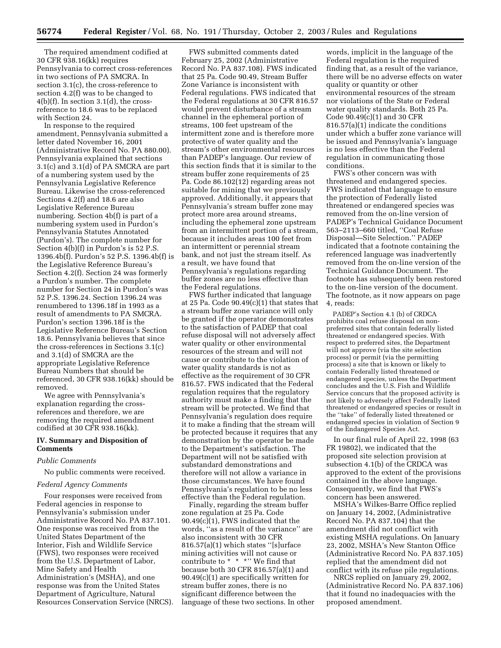The required amendment codified at 30 CFR 938.16(kk) requires Pennsylvania to correct cross-references in two sections of PA SMCRA. In section 3.1(c), the cross-reference to section 4.2(f) was to be changed to 4(b)(f). In section 3.1(d), the crossreference to 18.6 was to be replaced with Section 24.

In response to the required amendment, Pennsylvania submitted a letter dated November 16, 2001 (Administrative Record No. PA 880.00). Pennsylvania explained that sections 3.1(c) and 3.1(d) of PA SMCRA are part of a numbering system used by the Pennsylvania Legislative Reference Bureau. Likewise the cross-referenced Sections 4.2(f) and 18.6 are also Legislative Reference Bureau numbering. Section 4b(f) is part of a numbering system used in Purdon's Pennsylvania Statutes Annotated (Purdon's). The complete number for Section 4(b)(f) in Purdon's is 52 P.S. 1396.4b(f). Purdon's 52 P.S. 1396.4b(f) is the Legislative Reference Bureau's Section 4.2(f). Section 24 was formerly a Purdon's number. The complete number for Section 24 in Purdon's was 52 P.S. 1396.24. Section 1396.24 was renumbered to 1396.18f in 1993 as a result of amendments to PA SMCRA. Purdon's section 1396.18f is the Legislative Reference Bureau's Section 18.6. Pennsylvania believes that since the cross-references in Sections 3.1(c) and 3.1(d) of SMCRA are the appropriate Legislative Reference Bureau Numbers that should be referenced, 30 CFR 938.16(kk) should be removed.

We agree with Pennsylvania's explanation regarding the crossreferences and therefore, we are removing the required amendment codified at 30 CFR 938.16(kk).

## **IV. Summary and Disposition of Comments**

## *Public Comments*

No public comments were received.

#### *Federal Agency Comments*

Four responses were received from Federal agencies in response to Pennsylvania's submission under Administrative Record No. PA 837.101. One response was received from the United States Department of the Interior, Fish and Wildlife Service (FWS), two responses were received from the U.S. Department of Labor, Mine Safety and Health Administration's (MSHA), and one response was from the United States Department of Agriculture, Natural Resources Conservation Service (NRCS).

FWS submitted comments dated February 25, 2002 (Administrative Record No. PA 837.108). FWS indicated that 25 Pa. Code 90.49, Stream Buffer Zone Variance is inconsistent with Federal regulations. FWS indicated that the Federal regulations at 30 CFR 816.57 would prevent disturbance of a stream channel in the ephemeral portion of streams, 100 feet upstream of the intermittent zone and is therefore more protective of water quality and the stream's other environmental resources than PADEP's language. Our review of this section finds that it is similar to the stream buffer zone requirements of 25 Pa. Code 86.102(12) regarding areas not suitable for mining that we previously approved. Additionally, it appears that Pennsylvania's stream buffer zone may protect more area around streams, including the ephemeral zone upstream from an intermittent portion of a stream, because it includes areas 100 feet from an intermittent or perennial stream bank, and not just the stream itself. As a result, we have found that Pennsylvania's regulations regarding buffer zones are no less effective than the Federal regulations.

FWS further indicated that language at 25 Pa. Code 90.49(c)(1) that states that a stream buffer zone variance will only be granted if the operator demonstrates to the satisfaction of PADEP that coal refuse disposal will not adversely affect water quality or other environmental resources of the stream and will not cause or contribute to the violation of water quality standards is not as effective as the requirement of 30 CFR 816.57. FWS indicated that the Federal regulation requires that the regulatory authority must make a finding that the stream will be protected. We find that Pennsylvania's regulation does require it to make a finding that the stream will be protected because it requires that any demonstration by the operator be made to the Department's satisfaction. The Department will not be satisfied with substandard demonstrations and therefore will not allow a variance in those circumstances. We have found Pennsylvania's regulation to be no less effective than the Federal regulation.

Finally, regarding the stream buffer zone regulation at 25 Pa. Code 90.49(c)(1), FWS indicated that the words, ''as a result of the variance'' are also inconsistent with 30 CFR 816.57(a)(1) which states ''[s]urface mining activities will not cause or contribute to \* \* \*'' We find that because both 30 CFR 816.57(a)(1) and 90.49(c)(1) are specifically written for stream buffer zones, there is no significant difference between the language of these two sections. In other

words, implicit in the language of the Federal regulation is the required finding that, as a result of the variance, there will be no adverse effects on water quality or quantity or other environmental resources of the stream nor violations of the State or Federal water quality standards. Both 25 Pa. Code 90.49(c)(1) and 30 CFR 816.57(a)(1) indicate the conditions under which a buffer zone variance will be issued and Pennsylvania's language is no less effective than the Federal regulation in communicating those conditions.

FWS's other concern was with threatened and endangered species. FWS indicated that language to ensure the protection of Federally listed threatened or endangered species was removed from the on-line version of PADEP's Technical Guidance Document 563–2113–660 titled, ''Coal Refuse Disposal—Site Selection.'' PADEP indicated that a footnote containing the referenced language was inadvertently removed from the on-line version of the Technical Guidance Document. The footnote has subsequently been restored to the on-line version of the document. The footnote, as it now appears on page 4, reads:

PADEP's Section 4.1 (b) of CRDCA prohibits coal refuse disposal on nonpreferred sites that contain federally listed threatened or endangered species. With respect to preferred sites, the Department will not approve (via the site selection process) or permit (via the permitting process) a site that is known or likely to contain Federally listed threatened or endangered species, unless the Department concludes and the U.S. Fish and Wildlife Service concurs that the proposed activity is not likely to adversely affect Federally listed threatened or endangered species or result in the ''take'' of federally listed threatened or endangered species in violation of Section 9 of the Endangered Species Act.

In our final rule of April 22, 1998 (63 FR 19802), we indicated that the proposed site selection provision at subsection 4.1(b) of the CRDCA was approved to the extent of the provisions contained in the above language. Consequently, we find that FWS's concern has been answered.

MSHA's Wilkes-Barre Office replied on January 14, 2002, (Administrative Record No. PA 837.104) that the amendment did not conflict with existing MSHA regulations. On January 23, 2002, MSHA's New Stanton Office (Administrative Record No. PA 837.105) replied that the amendment did not conflict with its refuse pile regulations.

NRCS replied on January 29, 2002, (Administrative Record No. PA 837.106) that it found no inadequacies with the proposed amendment.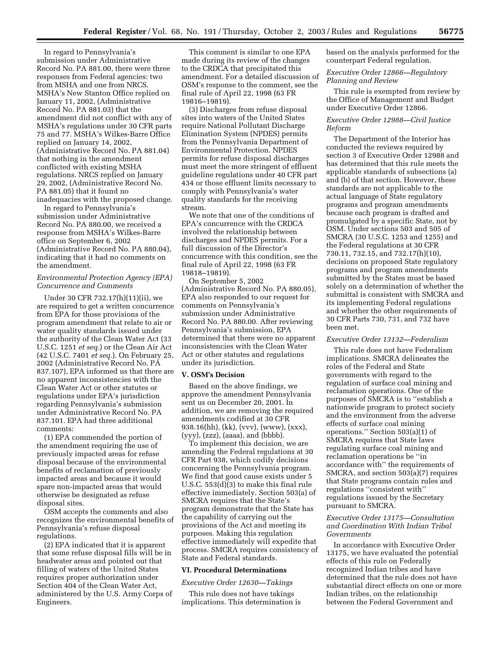In regard to Pennsylvania's submission under Administrative Record No. PA 881.00, there were three responses from Federal agencies: two from MSHA and one from NRCS. MSHA's New Stanton Office replied on January 11, 2002, (Administrative Record No. PA 881.03) that the amendment did not conflict with any of MSHA's regulations under 30 CFR parts 75 and 77. MSHA's Wilkes-Barre Office replied on January 14, 2002, (Administrative Record No. PA 881.04) that nothing in the amendment conflicted with existing MSHA regulations. NRCS replied on January 29, 2002, (Administrative Record No. PA 881.05) that it found no inadequacies with the proposed change.

In regard to Pennsylvania's submission under Administrative Record No. PA 880.00, we received a response from MSHA's Wilkes-Barre office on September 6, 2002 (Administrative Record No. PA 880.04), indicating that it had no comments on the amendment.

# *Environmental Protection Agency (EPA) Concurrence and Comments*

Under 30 CFR 732.17(h)(11)(ii), we are required to get a written concurrence from EPA for those provisions of the program amendment that relate to air or water quality standards issued under the authority of the Clean Water Act (33 U.S.C. 1251 *et seq.*) or the Clean Air Act (42 U.S.C. 7401 *et seq.*). On February 25, 2002 (Administrative Record No. PA 837.107), EPA informed us that there are no apparent inconsistencies with the Clean Water Act or other statutes or regulations under EPA's jurisdiction regarding Pennsylvania's submission under Administrative Record No. PA 837.101. EPA had three additional comments:

(1) EPA commended the portion of the amendment requiring the use of previously impacted areas for refuse disposal because of the environmental benefits of reclamation of previously impacted areas and because it would spare non-impacted areas that would otherwise be designated as refuse disposal sites.

OSM accepts the comments and also recognizes the environmental benefits of Pennsylvania's refuse disposal regulations.

(2) EPA indicated that it is apparent that some refuse disposal fills will be in headwater areas and pointed out that filling of waters of the United States requires proper authorization under Section 404 of the Clean Water Act, administered by the U.S. Army Corps of Engineers.

This comment is similar to one EPA made during its review of the changes to the CRDCA that precipitated this amendment. For a detailed discussion of OSM's response to the comment, see the final rule of April 22, 1998 (63 FR 19816–19819).

(3) Discharges from refuse disposal sites into waters of the United States require National Pollutant Discharge Elimination System (NPDES) permits from the Pennsylvania Department of Environmental Protection. NPDES permits for refuse disposal discharges must meet the more stringent of effluent guideline regulations under 40 CFR part 434 or those effluent limits necessary to comply with Pennsylvania's water quality standards for the receiving stream.

We note that one of the conditions of EPA's concurrence with the CRDCA involved the relationship between discharges and NPDES permits. For a full discussion of the Director's concurrence with this condition, see the final rule of April 22, 1998 (63 FR 19818–19819).

On September 5, 2002 (Administrative Record No. PA 880.05), EPA also responded to our request for comments on Pennsylvania's submission under Administrative Record No. PA 880.00. After reviewing Pennsylvania's submission, EPA determined that there were no apparent inconsistencies with the Clean Water Act or other statutes and regulations under its jurisdiction.

## **V. OSM's Decision**

Based on the above findings, we approve the amendment Pennsylvania sent us on December 20, 2001. In addition, we are removing the required amendments codified at 30 CFR 938.16(hh), (kk), (vvv), (www), (xxx), (yyy), (zzz), (aaaa), and (bbbb).

To implement this decision, we are amending the Federal regulations at 30 CFR Part 938, which codify decisions concerning the Pennsylvania program. We find that good cause exists under 5 U.S.C. 553(d)(3) to make this final rule effective immediately. Section 503(a) of SMCRA requires that the State's program demonstrate that the State has the capability of carrying out the provisions of the Act and meeting its purposes. Making this regulation effective immediately will expedite that process. SMCRA requires consistency of State and Federal standards.

## **VI. Procedural Determinations**

*Executive Order 12630—Takings* 

This rule does not have takings implications. This determination is based on the analysis performed for the counterpart Federal regulation.

# *Executive Order 12866—Regulatory Planning and Review*

This rule is exempted from review by the Office of Management and Budget under Executive Order 12866.

# *Executive Order 12988—Civil Justice Reform*

The Department of the Interior has conducted the reviews required by section 3 of Executive Order 12988 and has determined that this rule meets the applicable standards of subsections (a) and (b) of that section. However, these standards are not applicable to the actual language of State regulatory programs and program amendments because each program is drafted and promulgated by a specific State, not by OSM. Under sections 503 and 505 of SMCRA (30 U.S.C. 1253 and 1255) and the Federal regulations at 30 CFR 730.11, 732.15, and 732.17(h)(10), decisions on proposed State regulatory programs and program amendments submitted by the States must be based solely on a determination of whether the submittal is consistent with SMCRA and its implementing Federal regulations and whether the other requirements of 30 CFR Parts 730, 731, and 732 have been met.

## *Executive Order 13132—Federalism*

This rule does not have Federalism implications. SMCRA delineates the roles of the Federal and State governments with regard to the regulation of surface coal mining and reclamation operations. One of the purposes of SMCRA is to ''establish a nationwide program to protect society and the environment from the adverse effects of surface coal mining operations." Section  $503(a)(1)$  of SMCRA requires that State laws regulating surface coal mining and reclamation operations be ''in accordance with'' the requirements of SMCRA, and section 503(a)(7) requires that State programs contain rules and regulations ''consistent with'' regulations issued by the Secretary pursuant to SMCRA.

# *Executive Order 13175—Consultation and Coordination With Indian Tribal Governments*

In accordance with Executive Order 13175, we have evaluated the potential effects of this rule on Federally recognized Indian tribes and have determined that the rule does not have substantial direct effects on one or more Indian tribes, on the relationship between the Federal Government and